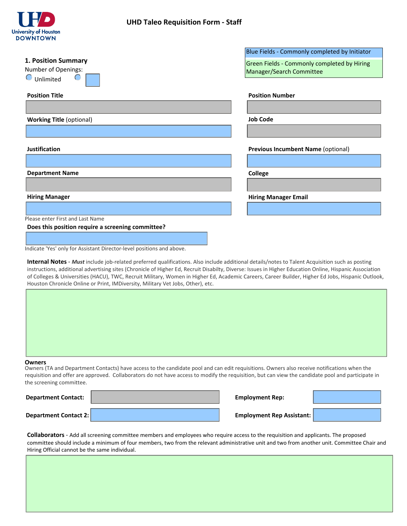

# **UHD Taleo Requisition Form - Staff**

|                                                   | Blue Fields - Commonly completed by Initiator |
|---------------------------------------------------|-----------------------------------------------|
| 1. Position Summary                               | Green Fields - Commonly completed by Hiring   |
| Number of Openings:                               | Manager/Search Committee                      |
| Unlimited                                         |                                               |
| <b>Position Title</b>                             | <b>Position Number</b>                        |
|                                                   |                                               |
| <b>Working Title (optional)</b>                   | <b>Job Code</b>                               |
|                                                   |                                               |
|                                                   |                                               |
| Justification                                     | <b>Previous Incumbent Name (optional)</b>     |
|                                                   |                                               |
| <b>Department Name</b>                            | <b>College</b>                                |
|                                                   |                                               |
| <b>Hiring Manager</b>                             | <b>Hiring Manager Email</b>                   |
|                                                   |                                               |
| Please enter First and Last Name                  |                                               |
| Does this position require a screening committee? |                                               |

Indicate 'Yes' only for Assistant Director-level positions and above.

**Internal Notes** - *Must* include job-related preferred qualifications. Also include additional details/notes to Talent Acquisition such as posting instructions, additional advertising sites (Chronicle of Higher Ed, Recruit Disabilty, Diverse: Issues in Higher Education Online, Hispanic Association of Colleges & Universities (HACU), TWC, Recruit Military, Women in Higher Ed, Academic Careers, Career Builder, Higher Ed Jobs, Hispanic Outlook, Houston Chronicle Online or Print, IMDiversity, Military Vet Jobs, Other), etc.



#### Owners (TA and Department Contacts) have access to the candidate pool and can edit requisitions. Owners also receive notifications when the requisition and offer are approved. Collaborators do not have access to modify the requisition, but can view the candidate pool and participate in the screening committee.

| <b>Department Contact:</b> | <b>Employment Rep:</b>           |  |
|----------------------------|----------------------------------|--|
| Department Contact 2:      | <b>Employment Rep Assistant:</b> |  |

**Collaborators** - Add all screening committee members and employees who require access to the requisition and applicants. The proposed committee should include a minimum of four members, two from the relevant administrative unit and two from another unit. Committee Chair and Hiring Official cannot be the same individual.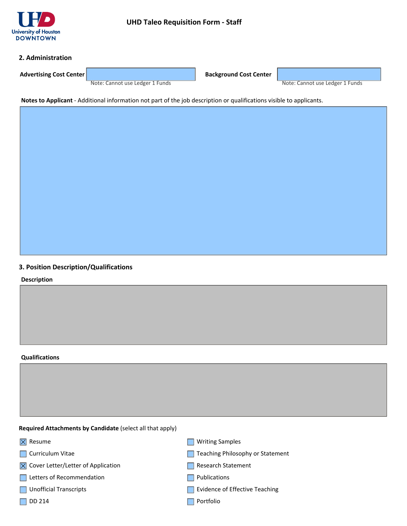

## **2. Administration**

**Advertising Cost Center Background Cost Center Background Cost Center** 

Note: Cannot use Ledger 1 Funds Note: Cannot use Ledger 1 Funds

**Notes to Applicant** - Additional information not part of the job description or qualifications visible to applicants.

# **3. Position Description/Qualifications**

**Description**

#### **Qualifications**

**Required Attachments by Candidate** (select all that apply)

- $|\overline{\times}|$  Resume
- **Curriculum Vitae**
- $\times$  Cover Letter/Letter of Application
- Letters of Recommendation
- **Unofficial Transcripts**
- $\Box$  DD 214
- **Writing Samples**
- Teaching Philosophy or Statement
- Research Statement
- **Publications**
- Evidence of Effective Teaching
- $\Box$  Portfolio